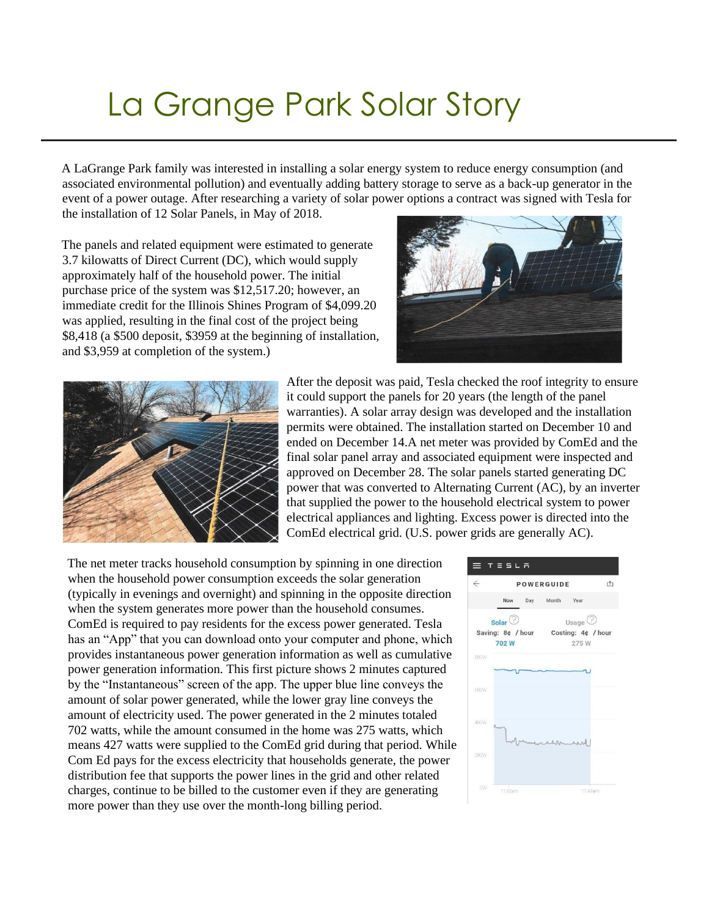## La Grange Park Solar Story

A LaGrange Park family was interested in installing a solar energy system to reduce energy consumption (and associated environmental pollution) and eventually adding battery storage to serve as a back-up generator in the event of a power outage. After researching a variety of solar power options a contract was signed with Tesla for the installation of 12 Solar Panels, in May of 2018.

The panels and related equipment were estimated to generate 3.7 kilowatts of Direct Current (DC), which would supply approximately half of the household power. The initial purchase price of the system was \$12,517.20; however, an immediate credit for the Illinois Shines Program of \$4,099.20 was applied, resulting in the final cost of the project being \$8,418 (a \$500 deposit, \$3959 at the beginning of installation, and \$3,959 at completion of the system.)





After the deposit was paid, Tesla checked the roof integrity to ensure it could support the panels for 20 years (the length of the panel warranties). A solar array design was developed and the installation permits were obtained. The installation started on December 10 and ended on December 14.A net meter was provided by ComEd and the final solar panel array and associated equipment were inspected and approved on December 28. The solar panels started generating DC power that was converted to Alternating Current (AC), by an inverter that supplied the power to the household electrical system to power electrical appliances and lighting. Excess power is directed into the ComEd electrical grid. (U.S. power grids are generally AC).

The net meter tracks household consumption by spinning in one direction when the household power consumption exceeds the solar generation (typically in evenings and overnight) and spinning in the opposite direction when the system generates more power than the household consumes. ComEd is required to pay residents for the excess power generated. Tesla has an "App" that you can download onto your computer and phone, which provides instantaneous power generation information as well as cumulative power generation information. This first picture shows 2 minutes captured by the "Instantaneous" screen of the app. The upper blue line conveys the amount of solar power generated, while the lower gray line conveys the amount of electricity used. The power generated in the 2 minutes totaled 702 watts, while the amount consumed in the home was 275 watts, which means 427 watts were supplied to the ComEd grid during that period. While Com Ed pays for the excess electricity that households generate, the power distribution fee that supports the power lines in the grid and other related charges, continue to be billed to the customer even if they are generating more power than they use over the month-long billing period.